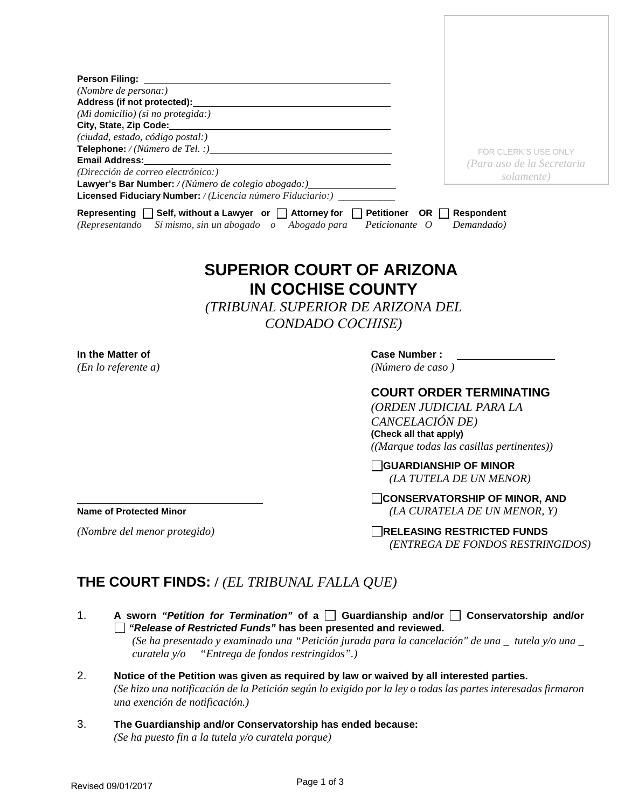| (Nombre de persona:)<br>Address (if not protected): Manual Address (if not protected):<br>(Mi domicilio) (si no protegida:)<br>(ciudad, estado, código postal:)<br>Email Address:______________<br>(Dirección de correo electrónico:)<br>Lawyer's Bar Number: / (Número de colegio abogado:) ____________________________<br>Licensed Fiduciary Number: / (Licencia número Fiduciario:) ________<br>Representing $\Box$ Self, without a Lawyer or $\Box$ Attorney for $\Box$ Petitioner OR $\Box$ Respondent<br>Sí mismo, sin un abogado o Abogado para<br>Peticionante O<br><i>(Representando)</i><br><b>SUPERIOR COURT OF ARIZONA</b><br><b>IN COCHISE COUNTY</b><br>(TRIBUNAL SUPERIOR DE ARIZONA DEL<br>CONDADO COCHISE)<br><b>Case Number:</b><br>In the Matter of<br>(En lo referente a)<br>(Número de caso)<br>CANCELACIÓN DE)<br>(Check all that apply)<br><b>Name of Protected Minor</b> |                                                                       |
|---------------------------------------------------------------------------------------------------------------------------------------------------------------------------------------------------------------------------------------------------------------------------------------------------------------------------------------------------------------------------------------------------------------------------------------------------------------------------------------------------------------------------------------------------------------------------------------------------------------------------------------------------------------------------------------------------------------------------------------------------------------------------------------------------------------------------------------------------------------------------------------------------|-----------------------------------------------------------------------|
|                                                                                                                                                                                                                                                                                                                                                                                                                                                                                                                                                                                                                                                                                                                                                                                                                                                                                                   |                                                                       |
|                                                                                                                                                                                                                                                                                                                                                                                                                                                                                                                                                                                                                                                                                                                                                                                                                                                                                                   |                                                                       |
|                                                                                                                                                                                                                                                                                                                                                                                                                                                                                                                                                                                                                                                                                                                                                                                                                                                                                                   | FOR CLERK'S USE ONLY<br>(Para uso de la Secretaria<br>solamente)      |
|                                                                                                                                                                                                                                                                                                                                                                                                                                                                                                                                                                                                                                                                                                                                                                                                                                                                                                   |                                                                       |
|                                                                                                                                                                                                                                                                                                                                                                                                                                                                                                                                                                                                                                                                                                                                                                                                                                                                                                   | Demandado)                                                            |
|                                                                                                                                                                                                                                                                                                                                                                                                                                                                                                                                                                                                                                                                                                                                                                                                                                                                                                   |                                                                       |
|                                                                                                                                                                                                                                                                                                                                                                                                                                                                                                                                                                                                                                                                                                                                                                                                                                                                                                   |                                                                       |
|                                                                                                                                                                                                                                                                                                                                                                                                                                                                                                                                                                                                                                                                                                                                                                                                                                                                                                   |                                                                       |
|                                                                                                                                                                                                                                                                                                                                                                                                                                                                                                                                                                                                                                                                                                                                                                                                                                                                                                   |                                                                       |
|                                                                                                                                                                                                                                                                                                                                                                                                                                                                                                                                                                                                                                                                                                                                                                                                                                                                                                   |                                                                       |
|                                                                                                                                                                                                                                                                                                                                                                                                                                                                                                                                                                                                                                                                                                                                                                                                                                                                                                   |                                                                       |
|                                                                                                                                                                                                                                                                                                                                                                                                                                                                                                                                                                                                                                                                                                                                                                                                                                                                                                   | <b>COURT ORDER TERMINATING</b>                                        |
|                                                                                                                                                                                                                                                                                                                                                                                                                                                                                                                                                                                                                                                                                                                                                                                                                                                                                                   | (ORDEN JUDICIAL PARA LA                                               |
|                                                                                                                                                                                                                                                                                                                                                                                                                                                                                                                                                                                                                                                                                                                                                                                                                                                                                                   |                                                                       |
|                                                                                                                                                                                                                                                                                                                                                                                                                                                                                                                                                                                                                                                                                                                                                                                                                                                                                                   | $((Marque todas las casillas pertinentes))$                           |
|                                                                                                                                                                                                                                                                                                                                                                                                                                                                                                                                                                                                                                                                                                                                                                                                                                                                                                   | <b>GUARDIANSHIP OF MINOR</b><br>(LA TUTELA DE UN MENOR)               |
|                                                                                                                                                                                                                                                                                                                                                                                                                                                                                                                                                                                                                                                                                                                                                                                                                                                                                                   | CONSERVATORSHIP OF MINOR, AND<br>(LA CURATELA DE UN MENOR, Y)         |
| (Nombre del menor protegido)                                                                                                                                                                                                                                                                                                                                                                                                                                                                                                                                                                                                                                                                                                                                                                                                                                                                      |                                                                       |
|                                                                                                                                                                                                                                                                                                                                                                                                                                                                                                                                                                                                                                                                                                                                                                                                                                                                                                   | <b>RELEASING RESTRICTED FUNDS</b><br>(ENTREGA DE FONDOS RESTRINGIDOS) |
|                                                                                                                                                                                                                                                                                                                                                                                                                                                                                                                                                                                                                                                                                                                                                                                                                                                                                                   |                                                                       |

- *"Release of Restricted Funds"* **has been presented and reviewed.** *(Se ha presentado y examinado una "Petición jurada para la cancelación" de una \_ tutela y/o una \_ curatela y/o "Entrega de fondos restringidos".)*
- 2. **Notice of the Petition was given as required by law or waived by all interested parties.** *(Se hizo una notificación de la Petición según lo exigido por la ley o todas las partes interesadas firmaron una exención de notificación.)*
- 3. **The Guardianship and/or Conservatorship has ended because:** *(Se ha puesto fin a la tutela y/o curatela porque)*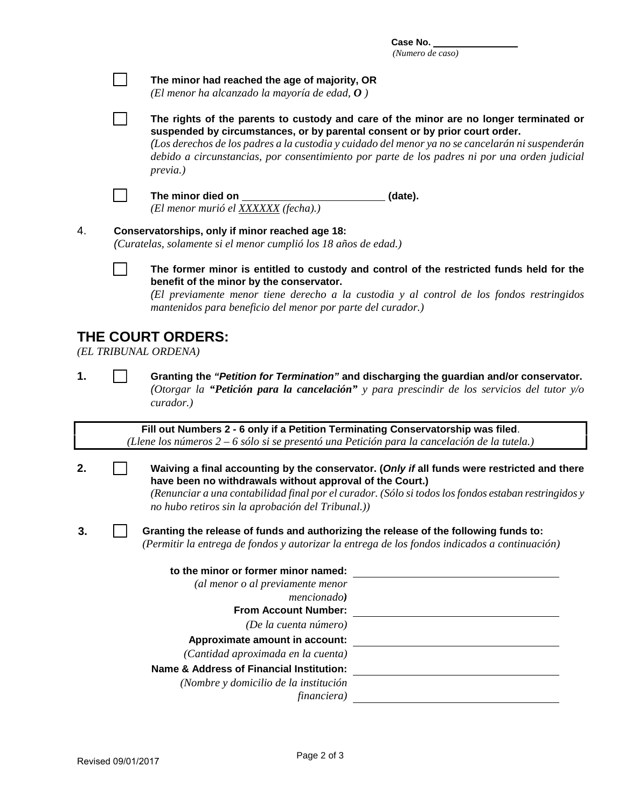**Case No.**  *(Numero de caso)*

| The minor had reached the age of majority, OR<br>(El menor ha alcanzado la mayoría de edad, $\boldsymbol{0}$ )                                                                                                                                                                                                                                                                                      |
|-----------------------------------------------------------------------------------------------------------------------------------------------------------------------------------------------------------------------------------------------------------------------------------------------------------------------------------------------------------------------------------------------------|
| The rights of the parents to custody and care of the minor are no longer terminated or<br>suspended by circumstances, or by parental consent or by prior court order.<br>(Los derechos de los padres a la custodia y cuidado del menor ya no se cancelarán ni suspenderán<br>debido a circunstancias, por consentimiento por parte de los padres ni por una orden judicial<br>previa.)              |
| The minor died on<br>(date).<br>(El menor murió el XXXXXX (fecha).)                                                                                                                                                                                                                                                                                                                                 |
| Conservatorships, only if minor reached age 18:<br>(Curatelas, solamente si el menor cumplió los 18 años de edad.)                                                                                                                                                                                                                                                                                  |
| The former minor is entitled to custody and control of the restricted funds held for the<br>benefit of the minor by the conservator.<br>(El previamente menor tiene derecho a la custodia y al control de los fondos restringidos<br>mantenidos para beneficio del menor por parte del curador.)                                                                                                    |
| <b>THE COURT ORDERS:</b><br>(EL TRIBUNAL ORDENA)                                                                                                                                                                                                                                                                                                                                                    |
| Granting the "Petition for Termination" and discharging the guardian and/or conservator.<br>(Otorgar la "Petición para la cancelación" y para prescindir de los servicios del tutor $y/\sigma$<br>curador.)                                                                                                                                                                                         |
| Fill out Numbers 2 - 6 only if a Petition Terminating Conservatorship was filed.<br>(Llene los números 2 – 6 sólo si se presentó una Petición para la cancelación de la tutela.)                                                                                                                                                                                                                    |
| Waiving a final accounting by the conservator. (Only if all funds were restricted and there<br>have been no withdrawals without approval of the Court.)<br>(Renunciar a una contabilidad final por el curador. (Sólo si todos los fondos estaban restringidos y<br>no hubo retiros sin la aprobación del Tribunal.))                                                                                |
| Granting the release of funds and authorizing the release of the following funds to:<br>(Permitir la entrega de fondos y autorizar la entrega de los fondos indicados a continuación)                                                                                                                                                                                                               |
| to the minor or former minor named:<br>(al menor o al previamente menor<br>mencionado)<br><b>From Account Number:</b><br>(De la cuenta número)<br>Approximate amount in account:<br>(Cantidad aproximada en la cuenta)<br><b>Name &amp; Address of Financial Institution:</b><br><u> 1989 - Johann Barn, amerikansk politiker (d. 1989)</u><br>(Nombre y domicilio de la institución<br>financiera) |
|                                                                                                                                                                                                                                                                                                                                                                                                     |